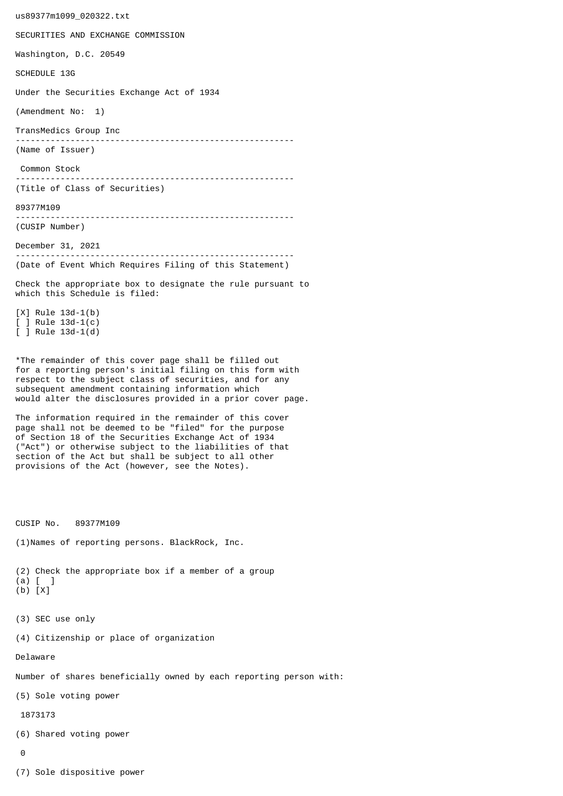us89377m1099\_020322.txt SECURITIES AND EXCHANGE COMMISSION Washington, D.C. 20549 SCHEDULE 13G Under the Securities Exchange Act of 1934 (Amendment No: 1) TransMedics Group Inc -------------------------------------------------------- (Name of Issuer) Common Stock -------------------------------------------------------- (Title of Class of Securities) 89377M109 -------------------------------------------------------- (CUSIP Number) December 31, 2021 -------------------------------------------------------- (Date of Event Which Requires Filing of this Statement) Check the appropriate box to designate the rule pursuant to which this Schedule is filed: [X] Rule 13d-1(b) [ ] Rule 13d-1(c) [ ] Rule 13d-1(d) \*The remainder of this cover page shall be filled out for a reporting person's initial filing on this form with respect to the subject class of securities, and for any subsequent amendment containing information which would alter the disclosures provided in a prior cover page. The information required in the remainder of this cover page shall not be deemed to be "filed" for the purpose of Section 18 of the Securities Exchange Act of 1934 ("Act") or otherwise subject to the liabilities of that section of the Act but shall be subject to all other provisions of the Act (however, see the Notes). CUSIP No. 89377M109 (1)Names of reporting persons. BlackRock, Inc. (2) Check the appropriate box if a member of a group (a) [ ] (b) [X] (3) SEC use only (4) Citizenship or place of organization Delaware Number of shares beneficially owned by each reporting person with: (5) Sole voting power 1873173 (6) Shared voting power  $\Omega$ 

(7) Sole dispositive power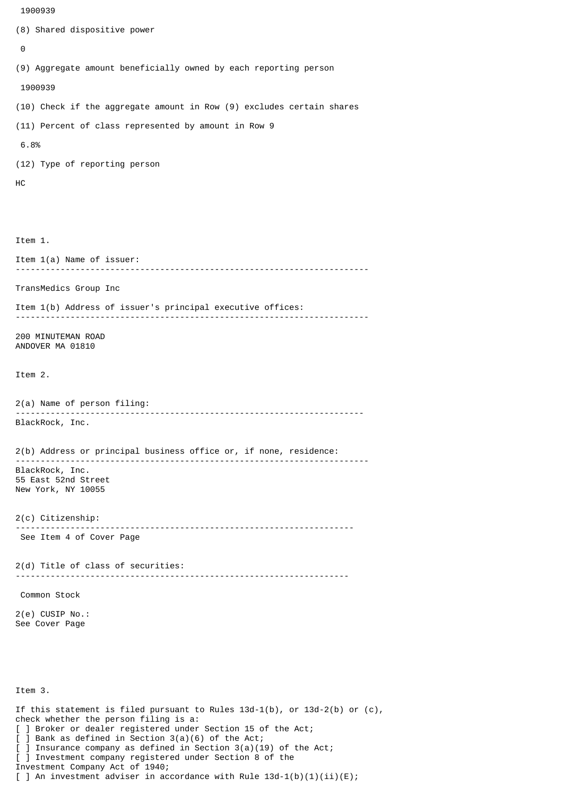```
 1900939
```

```
(8) Shared dispositive power
 \boldsymbol{\Theta}(9) Aggregate amount beneficially owned by each reporting person
  1900939
(10) Check if the aggregate amount in Row (9) excludes certain shares
(11) Percent of class represented by amount in Row 9
  6.8%
(12) Type of reporting person
HC
Item 1.
Item 1(a) Name of issuer:
           -----------------------------------------------------------------------
TransMedics Group Inc
Item 1(b) Address of issuer's principal executive offices:
-----------------------------------------------------------------------
200 MINUTEMAN ROAD
ANDOVER MA 01810
Item 2.
2(a) Name of person filing:
               ----------------------------------------------------------------------
BlackRock, Inc.
2(b) Address or principal business office or, if none, residence:
 -----------------------------------------------------------------------
BlackRock, Inc.
55 East 52nd Street
New York, NY 10055
2(c) Citizenship:
                            --------------------------------------------------------------------
 See Item 4 of Cover Page
2(d) Title of class of securities:
                                      -------------------------------------------------------------------
 Common Stock
2(e) CUSIP No.:
See Cover Page
Item 3.
If this statement is filed pursuant to Rules 13d-1(b), or 13d-2(b) or (c),
check whether the person filing is a:
[ ] Broker or dealer registered under Section 15 of the Act;
[ ] Bank as defined in Section 3(a)(6) of the Act;
  ] Insurance company as defined in Section 3(a)(19) of the Act;
[ ] Investment company registered under Section 8 of the
```

```
Investment Company Act of 1940;
```
<sup>[ ]</sup> An investment adviser in accordance with Rule  $13d-1(b)(1)(ii)(E)$ ;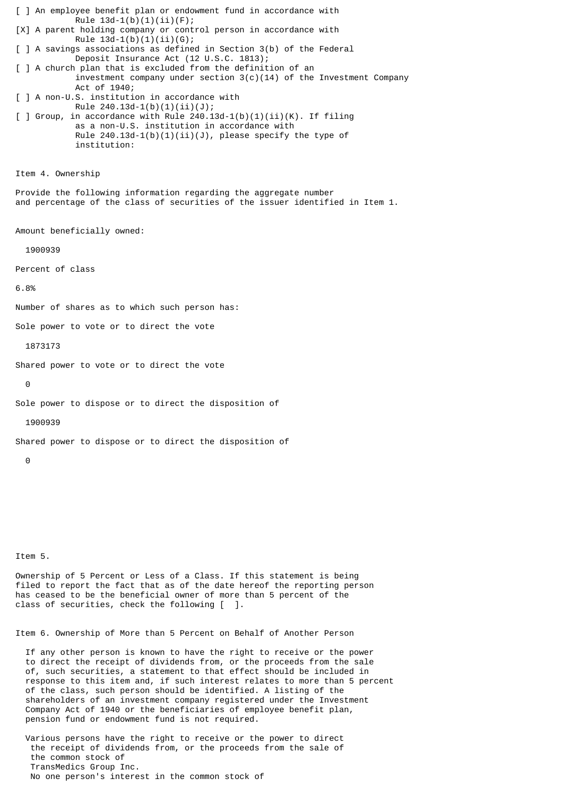[ ] An employee benefit plan or endowment fund in accordance with Rule  $13d-1(b)(1)(ii)(F);$ [X] A parent holding company or control person in accordance with Rule  $13d-1(b)(1)(ii)(G);$ [ ] A savings associations as defined in Section 3(b) of the Federal Deposit Insurance Act (12 U.S.C. 1813); [ ] A church plan that is excluded from the definition of an investment company under section  $3(c)(14)$  of the Investment Company Act of 1940; [ ] A non-U.S. institution in accordance with Rule 240.13d-1(b)(1)(ii)(J);  $\lceil$  ] Group, in accordance with Rule 240.13d-1(b)(1)(ii)(K). If filing as a non-U.S. institution in accordance with Rule  $240.13d-1(b)(1)(ii)(J)$ , please specify the type of institution: Item 4. Ownership Provide the following information regarding the aggregate number and percentage of the class of securities of the issuer identified in Item 1. Amount beneficially owned: 1900939 Percent of class 6.8% Number of shares as to which such person has: Sole power to vote or to direct the vote 1873173 Shared power to vote or to direct the vote  $\Theta$ Sole power to dispose or to direct the disposition of 1900939 Shared power to dispose or to direct the disposition of  $\Omega$ 

Item 5.

Ownership of 5 Percent or Less of a Class. If this statement is being filed to report the fact that as of the date hereof the reporting person has ceased to be the beneficial owner of more than 5 percent of the class of securities, check the following [ ].

Item 6. Ownership of More than 5 Percent on Behalf of Another Person

 If any other person is known to have the right to receive or the power to direct the receipt of dividends from, or the proceeds from the sale of, such securities, a statement to that effect should be included in response to this item and, if such interest relates to more than 5 percent of the class, such person should be identified. A listing of the shareholders of an investment company registered under the Investment Company Act of 1940 or the beneficiaries of employee benefit plan, pension fund or endowment fund is not required.

 Various persons have the right to receive or the power to direct the receipt of dividends from, or the proceeds from the sale of the common stock of TransMedics Group Inc. No one person's interest in the common stock of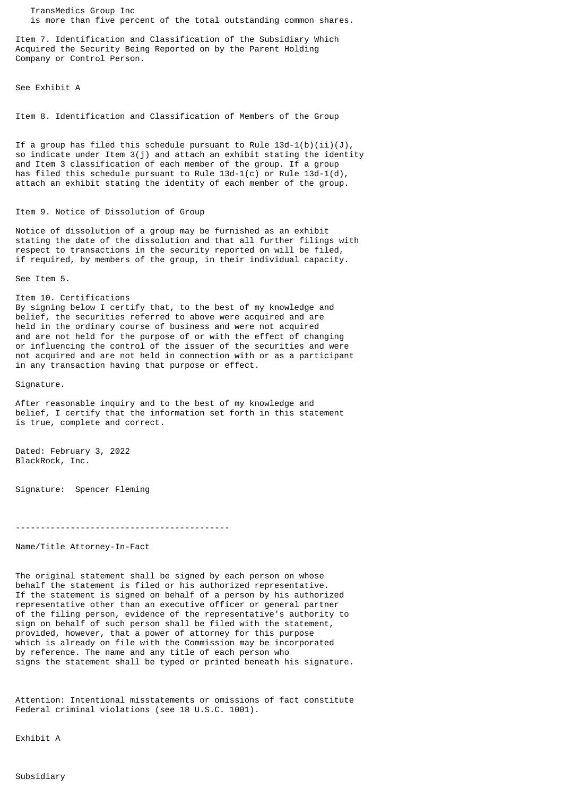TransMedics Group Inc is more than five percent of the total outstanding common shares.

Item 7. Identification and Classification of the Subsidiary Which Acquired the Security Being Reported on by the Parent Holding Company or Control Person.

See Exhibit A

Item 8. Identification and Classification of Members of the Group

If a group has filed this schedule pursuant to Rule  $13d-1(b)(ii)(J)$ , so indicate under Item 3(j) and attach an exhibit stating the identity and Item 3 classification of each member of the group. If a group has filed this schedule pursuant to Rule  $13d-1(c)$  or Rule  $13d-1(d)$ , attach an exhibit stating the identity of each member of the group.

## Item 9. Notice of Dissolution of Group

Notice of dissolution of a group may be furnished as an exhibit stating the date of the dissolution and that all further filings with respect to transactions in the security reported on will be filed, if required, by members of the group, in their individual capacity.

See Item 5.

Item 10. Certifications By signing below I certify that, to the best of my knowledge and belief, the securities referred to above were acquired and are held in the ordinary course of business and were not acquired and are not held for the purpose of or with the effect of changing or influencing the control of the issuer of the securities and were not acquired and are not held in connection with or as a participant

in any transaction having that purpose or effect.

Signature.

After reasonable inquiry and to the best of my knowledge and belief, I certify that the information set forth in this statement is true, complete and correct.

Dated: February 3, 2022 BlackRock, Inc.

Signature: Spencer Fleming

-------------------------------------------

Name/Title Attorney-In-Fact

The original statement shall be signed by each person on whose behalf the statement is filed or his authorized representative. If the statement is signed on behalf of a person by his authorized representative other than an executive officer or general partner of the filing person, evidence of the representative's authority to sign on behalf of such person shall be filed with the statement, provided, however, that a power of attorney for this purpose which is already on file with the Commission may be incorporated by reference. The name and any title of each person who signs the statement shall be typed or printed beneath his signature.

Attention: Intentional misstatements or omissions of fact constitute Federal criminal violations (see 18 U.S.C. 1001).

Exhibit A